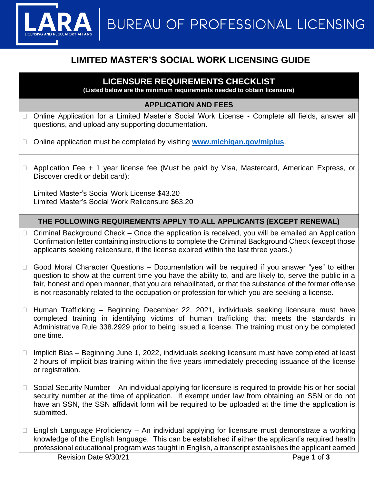

# **LIMITED MASTER'S SOCIAL WORK LICENSING GUIDE**

## **LICENSURE REQUIREMENTS CHECKLIST**

**(Listed below are the minimum requirements needed to obtain licensure)**

#### **APPLICATION AND FEES**

- □ Online Application for a Limited Master's Social Work License Complete all fields, answer all questions, and upload any supporting documentation.
- □ Online application must be completed by visiting **[www.michigan.gov/miplus](http://www.michigan.gov/miplus)**.
- □ Application Fee + 1 year license fee (Must be paid by Visa, Mastercard, American Express, or Discover credit or debit card):

Limited Master's Social Work License \$43.20 Limited Master's Social Work Relicensure \$63.20

### **THE FOLLOWING REQUIREMENTS APPLY TO ALL APPLICANTS (EXCEPT RENEWAL)**

- Criminal Background Check Once the application is received, you will be emailed an Application Confirmation letter containing instructions to complete the Criminal Background Check (except those applicants seeking relicensure, if the license expired within the last three years.)
- Good Moral Character Questions Documentation will be required if you answer "yes" to either question to show at the current time you have the ability to, and are likely to, serve the public in a fair, honest and open manner, that you are rehabilitated, or that the substance of the former offense is not reasonably related to the occupation or profession for which you are seeking a license.
- $\Box$  Human Trafficking Beginning December 22, 2021, individuals seeking licensure must have completed training in identifying victims of human trafficking that meets the standards in Administrative Rule 338.2929 prior to being issued a license. The training must only be completed one time.
- $\Box$  Implicit Bias Beginning June 1, 2022, individuals seeking licensure must have completed at least 2 hours of implicit bias training within the five years immediately preceding issuance of the license or registration.
- $\Box$  Social Security Number An individual applying for licensure is required to provide his or her social security number at the time of application. If exempt under law from obtaining an SSN or do not have an SSN, the SSN affidavit form will be required to be uploaded at the time the application is submitted.
- $\Box$  English Language Proficiency An individual applying for licensure must demonstrate a working knowledge of the English language. This can be established if either the applicant's required health professional educational program was taught in English, a transcript establishes the applicant earned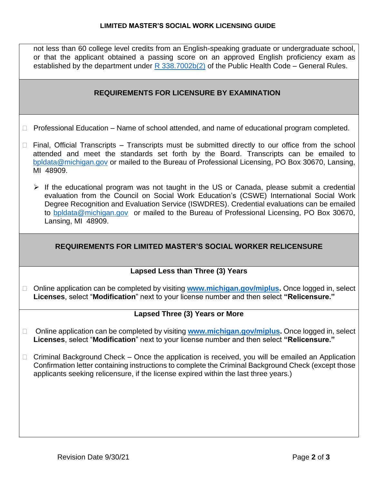not less than 60 college level credits from an English-speaking graduate or undergraduate school, or that the applicant obtained a passing score on an approved English proficiency exam as established by the department under  $R$  338.7002b(2) of the Public Health Code – General Rules.

#### **REQUIREMENTS FOR LICENSURE BY EXAMINATION**

- $\Box$  Professional Education Name of school attended, and name of educational program completed.
- $\Box$  Final, Official Transcripts Transcripts must be submitted directly to our office from the school attended and meet the standards set forth by the Board. Transcripts can be emailed to [bpldata@michigan.gov](mailto:bpldata@michigan.gov) or mailed to the Bureau of Professional Licensing, PO Box 30670, Lansing, MI 48909.
	- ➢ If the educational program was not taught in the US or Canada, please submit a credential evaluation from the Council on Social Work Education's (CSWE) International Social Work Degree Recognition and Evaluation Service (ISWDRES). Credential evaluations can be emailed to [bpldata@michigan.gov](mailto:bpldata@michigan.gov) or mailed to the Bureau of Professional Licensing, PO Box 30670, Lansing, MI 48909.

#### **REQUIREMENTS FOR LIMITED MASTER'S SOCIAL WORKER RELICENSURE**

#### **Lapsed Less than Three (3) Years**

□ Online application can be completed by visiting **www.michigan.gov/miplus**. Once logged in, select **Licenses**, select "**Modification**" next to your license number and then select **"Relicensure."** 

#### **Lapsed Three (3) Years or More**

- □ Online application can be completed by visiting **[www.michigan.gov/miplus.](http://www.michigan.gov/miplus)** Once logged in, select **Licenses**, select "**Modification**" next to your license number and then select **"Relicensure."**
- $\Box$  Criminal Background Check Once the application is received, you will be emailed an Application Confirmation letter containing instructions to complete the Criminal Background Check (except those applicants seeking relicensure, if the license expired within the last three years.)